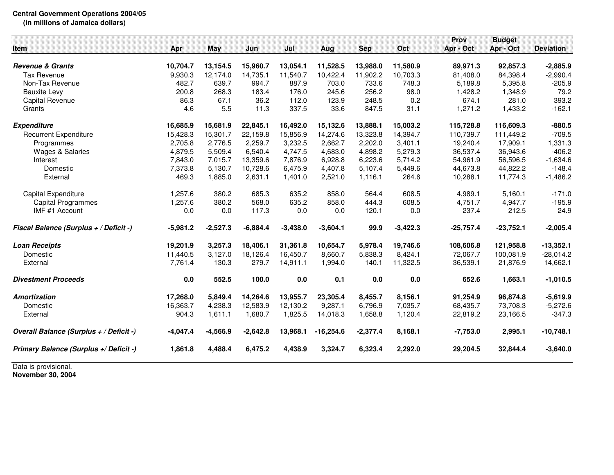## **Central Government Operations 2004/05 (in millions of Jamaica dollars)**

|                                         |            |            |            |            |             |            |            | Prov        | <b>Budget</b> |                  |
|-----------------------------------------|------------|------------|------------|------------|-------------|------------|------------|-------------|---------------|------------------|
| Item                                    | Apr        | May        | Jun        | Jul        | Aug         | <b>Sep</b> | Oct        | Apr - Oct   | Apr - Oct     | <b>Deviation</b> |
|                                         |            |            |            |            |             |            |            |             |               |                  |
| <b>Revenue &amp; Grants</b>             | 10,704.7   | 13,154.5   | 15,960.7   | 13,054.1   | 11,528.5    | 13.988.0   | 11,580.9   | 89,971.3    | 92,857.3      | $-2,885.9$       |
| <b>Tax Revenue</b>                      | 9,930.3    | 12,174.0   | 14,735.1   | 11,540.7   | 10,422.4    | 11,902.2   | 10,703.3   | 81,408.0    | 84,398.4      | $-2,990.4$       |
| Non-Tax Revenue                         | 482.7      | 639.7      | 994.7      | 887.9      | 703.0       | 733.6      | 748.3      | 5,189.8     | 5,395.8       | $-205.9$         |
| <b>Bauxite Levy</b>                     | 200.8      | 268.3      | 183.4      | 176.0      | 245.6       | 256.2      | 98.0       | 1,428.2     | 1,348.9       | 79.2             |
| Capital Revenue                         | 86.3       | 67.1       | 36.2       | 112.0      | 123.9       | 248.5      | 0.2        | 674.1       | 281.0         | 393.2            |
| Grants                                  | 4.6        | 5.5        | 11.3       | 337.5      | 33.6        | 847.5      | 31.1       | 1,271.2     | 1,433.2       | $-162.1$         |
| <b>Expenditure</b>                      | 16,685.9   | 15,681.9   | 22,845.1   | 16,492.0   | 15,132.6    | 13,888.1   | 15,003.2   | 115,728.8   | 116,609.3     | $-880.5$         |
| <b>Recurrent Expenditure</b>            | 15,428.3   | 15,301.7   | 22,159.8   | 15,856.9   | 14,274.6    | 13,323.8   | 14,394.7   | 110.739.7   | 111,449.2     | $-709.5$         |
| Programmes                              | 2,705.8    | 2,776.5    | 2,259.7    | 3,232.5    | 2,662.7     | 2,202.0    | 3,401.1    | 19,240.4    | 17,909.1      | 1,331.3          |
| <b>Wages &amp; Salaries</b>             | 4,879.5    | 5,509.4    | 6,540.4    | 4,747.5    | 4,683.0     | 4,898.2    | 5,279.3    | 36,537.4    | 36,943.6      | $-406.2$         |
| Interest                                | 7,843.0    | 7,015.7    | 13,359.6   | 7,876.9    | 6,928.8     | 6,223.6    | 5,714.2    | 54,961.9    | 56,596.5      | $-1,634.6$       |
| Domestic                                | 7,373.8    | 5,130.7    | 10,728.6   | 6,475.9    | 4,407.8     | 5,107.4    | 5,449.6    | 44,673.8    | 44,822.2      | $-148.4$         |
| External                                | 469.3      | 1,885.0    | 2,631.1    | 1,401.0    | 2,521.0     | 1,116.1    | 264.6      | 10,288.1    | 11,774.3      | $-1,486.2$       |
|                                         |            | 380.2      | 685.3      | 635.2      |             |            | 608.5      |             |               |                  |
| Capital Expenditure                     | 1,257.6    |            |            |            | 858.0       | 564.4      |            | 4,989.1     | 5,160.1       | $-171.0$         |
| <b>Capital Programmes</b>               | 1,257.6    | 380.2      | 568.0      | 635.2      | 858.0       | 444.3      | 608.5      | 4,751.7     | 4,947.7       | $-195.9$         |
| IMF #1 Account                          | 0.0        | 0.0        | 117.3      | 0.0        | 0.0         | 120.1      | 0.0        | 237.4       | 212.5         | 24.9             |
| Fiscal Balance (Surplus + / Deficit -)  | $-5,981.2$ | $-2,527.3$ | $-6,884.4$ | $-3,438.0$ | $-3,604.1$  | 99.9       | $-3,422.3$ | $-25,757.4$ | $-23,752.1$   | $-2,005.4$       |
| <b>Loan Receipts</b>                    | 19,201.9   | 3,257.3    | 18,406.1   | 31,361.8   | 10,654.7    | 5,978.4    | 19,746.6   | 108,606.8   | 121,958.8     | $-13,352.1$      |
| Domestic                                | 11,440.5   | 3,127.0    | 18,126.4   | 16,450.7   | 8,660.7     | 5,838.3    | 8,424.1    | 72,067.7    | 100,081.9     | $-28,014.2$      |
| External                                | 7,761.4    | 130.3      | 279.7      | 14,911.1   | 1,994.0     | 140.1      | 11,322.5   | 36,539.1    | 21,876.9      | 14,662.1         |
| <b>Divestment Proceeds</b>              | 0.0        | 552.5      | 100.0      | $0.0\,$    | 0.1         | 0.0        | 0.0        | 652.6       | 1,663.1       | $-1,010.5$       |
| <b>Amortization</b>                     | 17,268.0   | 5,849.4    | 14,264.6   | 13,955.7   | 23,305.4    | 8,455.7    | 8,156.1    | 91,254.9    | 96,874.8      | $-5,619.9$       |
| Domestic                                | 16,363.7   | 4,238.3    | 12,583.9   | 12,130.2   | 9,287.1     | 6,796.9    | 7,035.7    | 68,435.7    | 73,708.3      | $-5,272.6$       |
| External                                | 904.3      | 1,611.1    | 1,680.7    | 1,825.5    | 14,018.3    | 1,658.8    | 1,120.4    | 22,819.2    | 23,166.5      | $-347.3$         |
| Overall Balance (Surplus + / Deficit -) | $-4,047.4$ | $-4,566.9$ | $-2,642.8$ | 13,968.1   | $-16,254.6$ | $-2,377.4$ | 8,168.1    | $-7,753.0$  | 2,995.1       | $-10,748.1$      |
| Primary Balance (Surplus +/ Deficit -)  | 1,861.8    | 4,488.4    | 6,475.2    | 4,438.9    | 3,324.7     | 6,323.4    | 2,292.0    | 29,204.5    | 32,844.4      | $-3,640.0$       |
|                                         |            |            |            |            |             |            |            |             |               |                  |

Data is provisional. **November 30, 2004**